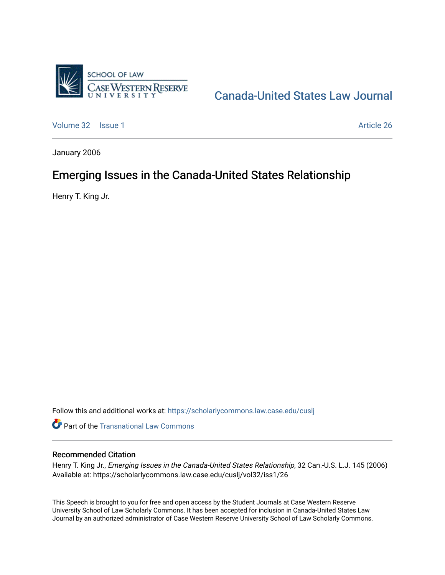

# [Canada-United States Law Journal](https://scholarlycommons.law.case.edu/cuslj)

[Volume 32](https://scholarlycommons.law.case.edu/cuslj/vol32) | [Issue 1](https://scholarlycommons.law.case.edu/cuslj/vol32/iss1) Article 26

January 2006

## Emerging Issues in the Canada-United States Relationship

Henry T. King Jr.

Follow this and additional works at: [https://scholarlycommons.law.case.edu/cuslj](https://scholarlycommons.law.case.edu/cuslj?utm_source=scholarlycommons.law.case.edu%2Fcuslj%2Fvol32%2Fiss1%2F26&utm_medium=PDF&utm_campaign=PDFCoverPages)

**Part of the [Transnational Law Commons](http://network.bepress.com/hgg/discipline/1123?utm_source=scholarlycommons.law.case.edu%2Fcuslj%2Fvol32%2Fiss1%2F26&utm_medium=PDF&utm_campaign=PDFCoverPages)** 

### Recommended Citation

Henry T. King Jr., Emerging Issues in the Canada-United States Relationship, 32 Can.-U.S. L.J. 145 (2006) Available at: https://scholarlycommons.law.case.edu/cuslj/vol32/iss1/26

This Speech is brought to you for free and open access by the Student Journals at Case Western Reserve University School of Law Scholarly Commons. It has been accepted for inclusion in Canada-United States Law Journal by an authorized administrator of Case Western Reserve University School of Law Scholarly Commons.